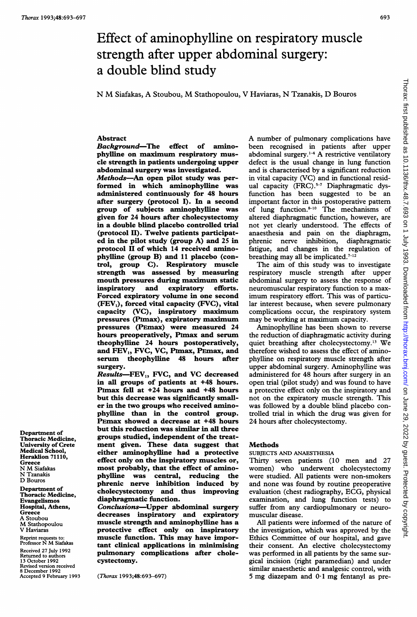## 693

# Effect of aminophylline on respiratory muscle strength after upper abdominal surgery: a double blind study

N M Siafakas, A Stoubou, M Stathopoulou, V Haviaras, N Tzanakis, D Bouros

#### Abstract

Background-The effect of aminophylline on maximum respiratory muscle strength in patients undergoing upper abdominal surgery was investigated.

Methods-An open pilot study was performed in which aminophylline was administered continuously for 48 hours after surgery (protocol I). In a second group of subjects aminophylline was given for 24 hours after cholecystectomy in a double blind placebo controlled trial (protocol II). Twelve patients participated in the pilot study (group A) and 25 in protocol II of which 14 received aminophylline (group B) and 11 placebo (control, group C). Respiratory muscle strength was assessed by measuring mouth pressures during maximum static<br>inspiratory and expiratory efforts. inspiratory and expiratory efforts. Forced expiratory volume in one second  $(FEV<sub>1</sub>)$ , forced vital capacity  $(FVC)$ , vital capacity (VC), inspiratory maximum pressures (Pimax), expiratory maximum pressures (PEmax) were measured 24 hours preoperatively, Pimax and serum theophylline 24 hours postoperatively, and FEV<sub>1</sub>, FVC, VC, Pīmax, Pēmax, and<br>serum theophylline 48 hours after theophylline 48 hours surgery.

Results-FEV<sub>1</sub>, FVC, and VC decreased in all groups of patients at +48 hours. Pimax fell at +24 hours and +48 hours but this decrease was significantly smaller in the two groups who received aminophylline than in the control group. PEmax showed a decrease at +48 hours but this reduction was similar in all three groups studied, independent of the treatment given. These data suggest that either aminophylline had a protective effect only on the inspiratory muscles or, most probably, that the effect of aminophylline was central, reducing the phrenic nerve inhibition induced by cholecystectomy and thus improving diaphragmatic function.

Conclusions-Upper abdominal surgery decreases inspiratory and expiratory muscle strength and aminophylline has a protective effect only on inspiratory muscle function. This may have important clinical applications in minimising pulmonary complications after cholecystectomy.

(Thorax 1993;48:693-697)

A number of pulmonary complications have been recognised in patients after upper abdominal surgery.<sup>1-4</sup> A restrictive ventilatory defect is the usual change in lung function and is characterised by a significant reduction in vital capacity (VC) and in functional residual capacity (FRC).<sup>5-7</sup> Diaphragmatic dysfunction has been suggested to be an important factor in this postoperative pattern of lung function.<sup>8-10</sup> The mechanisms of altered diaphragmatic function, however, are not yet clearly understood. The effects of anaesthesia and pain on the diaphragm, phrenic nerve inhibition, diaphragmatic fatigue, and changes in the regulation of breathing may all be implicated. $7-12$ 

The aim of this study was to investigate respiratory muscle strength after upper abdominal surgery to assess the response of neuromuscular respiratory function to a maximum respiratory effort. This was of particular interest because, when severe pulmonary complications occur, the respiratory system may be working at maximum capacity.

Aminophylline has been shown to reverse the reduction of diaphragmatic activity during quiet breathing after cholecystectomy.<sup>13</sup> We therefore wished to assess the effect of aminophylline on respiratory muscle strength after upper abdominal surgery. Aminophylline was administered for 48 hours after surgery in an open trial (pilot study) and was found to have a protective effect only on the inspiratory and not on the expiratory muscle strength. This was followed by a double blind placebo controlled trial in which the drug was given for 24 hours after cholecystectomy.

#### Methods

# SUBJECTS AND ANAESTHESIA

Thirty seven patients (10 men and 27 women) who underwent cholecystectomy were studied. All patients were non-smokers and none was found by routine preoperative evaluation (chest radiography, ECG, physical examination, and lung function tests) to suffer from any cardiopulmonary or neuromuscular disease.

All patients were informed of the nature of the investigation, which was approved by the Ethics Committee of our hospital, and gave their consent. An elective cholecystectomy was performed in all patients by the same surgical incision (right paramedian) and under similar anaesthetic and analgesic control, with 5 mg diazepam and  $0.1$  mg fentanyl as pre-

Department of Thoracic Medicine, University of Crete Medical School, Heraklion 71110, Greece N M Siafakas N Tzanakis D Bouros

Department of Thoracic Medicine, Evangelismos Hospital, Athens, **Greece** A Stoubou M Stathopoulou V Haviaras

Reprint requests to: Professor N M Siafakas Received 27 July 1992 Returned to authors 13 October 1992

Revised version received 8 December 1992 Accepted 9 February 1993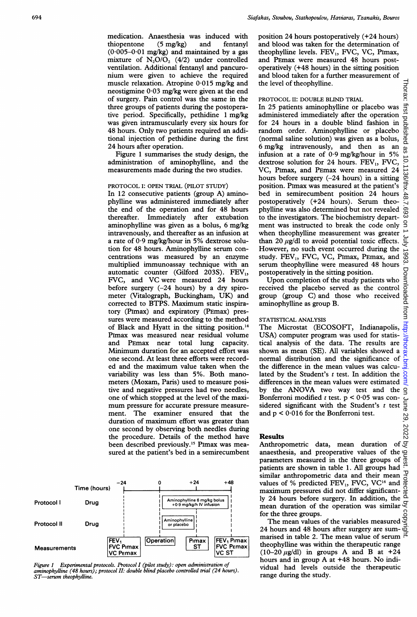medication. Anaesthesia was induced with<br>thiopentone (5 mg/kg) and fentanyl thiopentone (5 mg/kg) and fentanyl  $(0.005-0.01 \text{ mg/kg})$  and maintained by a gas mixture of N,0/O, (4/2) under controlled ventilation. Additional fentanyl and pancuronium were given to achieve the required muscle relaxation. Atropine  $0.015$  mg/kg and neostigmine 0-03 mg/kg were given at the end of surgery. Pain control was the same in the three groups of patients during the postoperative period. Specifically, pethidine <sup>1</sup> mg/kg was given intramuscularly every six hours for 48 hours. Only two patients required an additional injection of pethidine during the first 24 hours after operation.

Figure <sup>1</sup> summarises the study design, the administration of aminophylline, and the measurements made during the two studies.

## PROTOCOL I: OPEN TRIAL (PILOT STUDY)

In 12 consecutive patients (group A) aminophylline was administered immediately after the end of the operation and for 48 hours thereafter. Immediately after extubation aminophylline was given as a bolus, 6 mg/kg intravenously, and thereafter as an infusion at a rate of  $0.9$  mg/kg/hour in 5% dextrose solution for 48 hours. Aminophylline serum concentrations was measured by an enzyme multiplied immunoassay technique with an automatic counter (Gilford 203S). FEV1, FVC, and VC were measured <sup>24</sup> hours before surgery  $(-24$  hours) by a dry spirometer (Vitalograph, Buckingham, UK) and corrected to BTPS. Maximum static inspiratory (Pimax) and expiratory (PEmax) pressures were measured according to the method of Black and Hyatt in the sitting position.'4 Pimax was measured near residual volume and PEmax near total lung capacity. Minimum duration for an accepted effort was one second. At least three efforts were recorded and the maximum value taken when the variability was less than 5%. Both manometers (Moxam, Paris) used to measure positive and negative pressures had two needles, one of which stopped at the level of the maximum pressure for accurate pressure measurement. The examiner ensured that the duration of maximum effort was greater than one second by observing both needles during the procedure. Details of the method have been described previously.<sup>15</sup> PImax was measured at the patient's bed in a semirecumbent



Figure <sup>1</sup> Experimental protocols. Protocol I (pilot study): open administration of aminophylline (48 hours); protocol II: double blind placebo controlled trial (24 hours).  $-$ serum theophylline.

position 24 hours postoperatively (+24 hours) and blood was taken for the determination of theophylline levels. FEV<sub>1</sub>, FVC, VC, PImax, and PEmax were measured 48 hours postoperatively (+48 hours) in the sitting position and blood taken for a further measurement of the level of theophylline.

### PROTOCOL II: DOUBLE BLIND TRIAL

In 25 patients aminophylline or placebo was administered immediately after the operation for 24 hours in a double blind fashion in random order. Aminophylline or placebo (normal saline solution) was given as a bolus, 6 mg/kg intravenously, and then as an infusion at a rate of  $0.9 \text{ mg/kg/hour}$  in 5% dextrose solution for 24 hours.  $FEV<sub>1</sub>$ , FVC, VC, Pimax, and PEmax were measured 24 hours before surgery  $(-24$  hours) in a sitting position. Pimax was measured at the patient's bed in semirecumbent position 24 hours postoperatively (+24 hours). Serum theophylline was also determined but not revealed to the investigators. The biochemistry department was instructed to break the code only when theophylline measurement was greater than 20  $\mu$ g/dl to avoid potential toxic effects. However, no such event occurred during the study. FEV<sub>1</sub>, FVC, VC, PImax, PEmax, and serum theophylline were measured 48 hours postoperatively in the sitting position.

Upon completion of the study patients who received the placebo served as the control group (group C) and those who received aminophylline as group B.

#### STATISTICAL ANALYSIS

The Microstat (ECOSOFT, Indianapolis, USA) computer program was used for statistical analysis of the data. The results are shown as mean (SE). All variables showed a normal distribution and the significance of the difference in the mean values was calculated by the Student's  $t$  test. In addition the differences in the mean values were estimated by the ANOVA two way test and the Bonferroni modified  $t$  test.  $p < 0.05$  was considered significant with the Student's  $t$  test and  $p < 0.016$  for the Bonferroni test.

#### Results

Anthropometric data, mean duration of  $\overline{Q}$ anaesthesia, and preoperative values of the  $\varphi$ parameters measured in the three groups of patients are shown in table 1. All groups had similar anthropometric data and their mean values of % predicted FEV<sub>1</sub>, FVC, VC<sup>16</sup> and maximum pressures did not differ significantvalues of % predicted FEV<sub>1</sub>, FVC, VC<sup>16</sup> and  $\frac{3}{6}$ <br>maximum pressures did not differ significant- $\frac{3}{6}$ <br>ly 24 hours before surgery. In addition, the mean duration of the operation was similar  $\overline{S}$ for the three groups.

The mean values of the variables measured  $\bar{Q}$ 24 hours and 48 hours after surgery are sum- $\overline{\omega}$ marised in table 2. The mean value of serum  $\frac{1}{x}$ theophylline was within the therapeutic range (10-20  $\mu$ g/dl) in groups A and B at +24 hours and in group A at +48 hours. No individual had levels outside the therapeutic range during the study.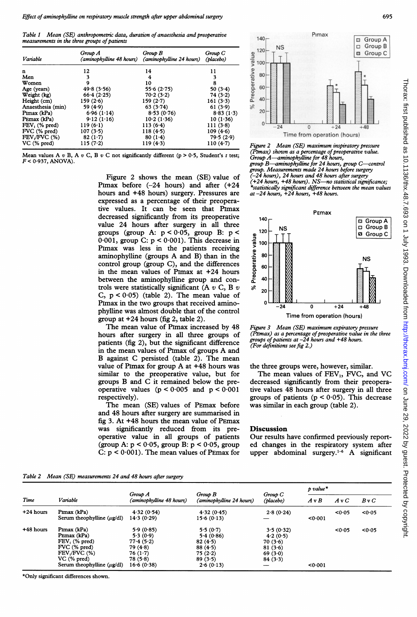Table 1 Mean (SE) anthropometric data, duration of anaesthesia and preoperative measurements in the three groups of patients

| Variable                  | Group A<br>(aminophylline 48 hours) | Group B<br>(aminophylline 24 hours) | Group C<br>(placebo) |  |
|---------------------------|-------------------------------------|-------------------------------------|----------------------|--|
| n                         | 12                                  | 14                                  | 11                   |  |
| Men                       | 3                                   | 4                                   | 3                    |  |
| Women                     | 9                                   | 10                                  | 8                    |  |
| Age (years)               | 49.8(3.56)                          | 55.6(2.75)                          | 50(3.4)              |  |
| Weight (kg)               | 66.4(2.25)                          | 70.2(3.2)                           | 74(3.2)              |  |
| Height (cm)               | 159(2.6)                            | 159(2.7)                            | 161(3.3)             |  |
| Anaesthesia (min)         | 59 $(4.9)$                          | 63(3.74)                            | 61(3.9)              |  |
| Pimax (kPa)               | 6.96(1.14)                          | 8.53(0.76)                          | 8.83(1.3)            |  |
| PEmax (kPa)               | 9.12(1.16)                          | 10.2(1.36)                          | 10(1.36)             |  |
| $FEV1$ (% pred)           | 119(6.1)                            | 113(6.4)                            | 111(3.8)             |  |
| FVC (% pred)              | 107(3.5)                            | 118(4.5)                            | 109(4.6)             |  |
| FEV <sub>1</sub> /FVC (%) | 82(1.7)                             | 80(1.4)                             | 79.5(2.9)            |  |
| $VC$ (% pred)             | 115(7.2)                            | 119(4·3)                            | $110(4-7)$           |  |

Mean values A v B, A v C, B v C not significantly different (p > 0.5, Student's t test;  $F < 0.937$ , ANOVA).

> Figure 2 shows the mean (SE) value of Pimax before  $(-24$  hours) and after  $(+24)$ hours and +48 hours) surgery. Pressures are expressed as a percentage of their preoperative values. It can be seen that Pimax decreased significantly from its preoperative value 24 hours after surgery in all three groups (group A:  $p < 0.05$ , group B:  $p <$ 0.001, group C:  $p < 0.001$ ). This decrease in Pimax was less in the patients receiving aminophylline (groups A and B) than in the control group (group C), and the differences in the mean values of Pimax at +24 hours between the aminophylline group and controls were statistically significant (A  $v$  C, B  $v$ C,  $p < 0.05$ ) (table 2). The mean value of Pimax in the two groups that received aminophylline was almost double that of the control group at  $+24$  hours (fig 2, table 2).

> The mean value of Pimax increased by 48 hours after surgery in all three groups of patients (fig 2), but the significant difference in the mean values of Pimax of groups A and B against C persisted (table 2). The mean value of Pimax for group A at +48 hours was similar to the preoperative value, but for groups B and C it remained below the preoperative values  $(p < 0.005$  and  $p < 0.001$ respectively).

> The mean (SE) values of PEmax before and 48 hours after surgery are summarised in fig 3. At +48 hours the mean value of PEmax was significantly reduced from its preoperative value in all groups of patients (group A:  $p < 0.05$ , group B:  $p < 0.05$ , group C:  $p < 0.001$ ). The mean values of PEmax for



Figure 2 Mean (SE) maximum inspiratory pressure (PImax) shown as a percentage of preoperative value. Group A-aminophylline for 48 hours, group  $B$ -aminophylline for 24 hours, group  $C$ -control group. Measurements made 24 hours before surgery (-24 hours), 24 hours and 48 hours after surgery (+24 hours, +48 hours). NS-no statistical significance; \*statistically significant difference between the mean values at  $-24$  hours,  $+24$  hours,  $+48$  hours.



Figure 3 Mean (SE) maximum expiratory pressure  $(\widetilde{P}_{\text{Emax}})$  as a percentage of preoperative value in the three groups of patients at  $-24$  hours and  $+48$  hours. (For definitions see fig 2.)

## the three groups were, however, similar.

The mean values of  $FEV<sub>1</sub>$ , FVC, and VC decreased significantly from their preoperative values 48 hours after surgery in all three groups of patients ( $p < 0.05$ ). This decrease was similar in each group (table 2).

#### Discussion

Our results have confirmed previously reported changes in the respiratory system after upper abdominal surgery.<sup>1-6</sup> A significant

|  |  | Table 2 Mean (SE) measurements 24 and 48 hours after surgery |  |  |  |
|--|--|--------------------------------------------------------------|--|--|--|
|--|--|--------------------------------------------------------------|--|--|--|

| Time        | Variable                                                   | Group A<br>(aminophylline 48 hours) | Group B<br>(aminophylline 24 hours) | Group C<br>(placebo) | $p$ value* |            |            |
|-------------|------------------------------------------------------------|-------------------------------------|-------------------------------------|----------------------|------------|------------|------------|
|             |                                                            |                                     |                                     |                      | $A \vee B$ | $A \vee C$ | $B \vee C$ |
| $+24$ hours | Pimax (kPa)                                                | 4.32(0.54)                          | 4.32(0.45)                          | 2.8(0.24)            |            | 0.05       | <0.05      |
|             | Serum theophylline $(\mu \mathbf{g}/\mathrm{d}\mathbf{l})$ | 14.3(0.29)                          | 15.6(0.13)                          |                      | <0.001     |            |            |
| $+48$ hours | Pimax (kPa)                                                | 5.9(0.85)                           | 5.5(0.7)                            | 3.5(0.32)            |            | <0.05      | <0.05      |
|             | PEmax (kPa)                                                | 5.3(0.9)                            | 5.4(0.86)                           | 4.2(0.5)             |            |            |            |
|             | $FEV1$ (% pred)                                            | 77.4(5.2)                           | 82(4.5)                             | 70(3.6)              |            |            |            |
|             | FVC (% pred)                                               | 79(4.8)                             | 88(4.5)                             | 81(3.6)              |            |            |            |
|             | FEV <sub>1</sub> /FVC (%)                                  | 76(1.7)                             | 75(2.2)                             | 69(3.0)              |            |            |            |
|             | $VC$ (% pred)                                              | 78(5.8)                             | 89(3.5)                             | 84(3.3)              |            |            |            |
|             | Serum theophylline $(\mu \mathbf{g}/\mathrm{d}\mathbf{l})$ | 16.6(0.38)                          | 2.6(0.13)                           |                      | 0.001      |            |            |

\*Only significant differences shown.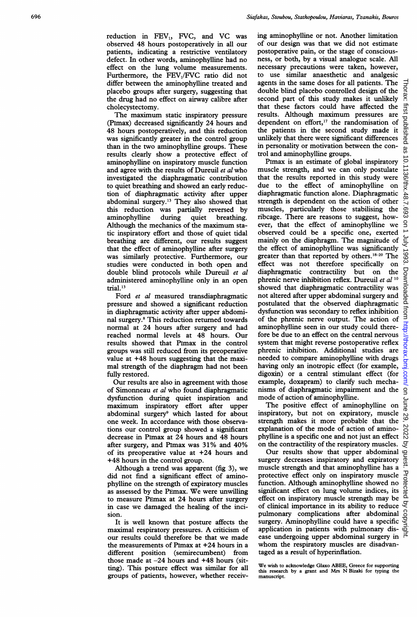reduction in  $FEV<sub>1</sub>$ , FVC, and VC was observed 48 hours postoperatively in all our patients, indicating a restrictive ventilatory defect. In other words, aminophylline had no effect on the lung volume measurements. Furthermore, the  $FEV<sub>1</sub>/FVC$  ratio did not differ between the aminophylline treated and placebo groups after surgery, suggesting that the drug had no effect on airway calibre after cholecystectomy.

The maximum static inspiratory pressure (Pimax) decreased significantly 24 hours and 48 hours postoperatively, and this reduction was significantly greater in the control group than in the two aminophylline groups. These results clearly show a protective effect of aminophylline on inspiratory muscle function and agree with the results of Dureuil et al who investigated the diaphragmatic contribution to quiet breathing and showed an early reduction of diaphragmatic activity after upper abdominal surgery.<sup>13</sup> They also showed that this reduction was partially reversed by aminophylline during quiet breathing. Although the mechanics of the maximum static inspiratory effort and those of quiet tidal breathing are different, our results suggest that the effect of aminophylline after surgery was similarly protective. Furthermore, our studies were conducted in both open and double blind protocols while Dureuil et al administered aminophylline only in an open trial.<sup>13</sup>

Ford et al measured transdiaphragmatic pressure and showed a significant reduction in diaphragmatic activity after upper abdominal surgery.8 This reduction returned towards normal at 24 hours after surgery and had reached normal levels at 48 hours. Our results showed that Pimax in the control groups was still reduced from its preoperative value at +48 hours suggesting that the maximal strength of the diaphragm had not been fully restored.

Our results are also in agreement with those of Simonneau et al who found diaphragmatic dysfunction during quiet inspiration and maximum inspiratory effort after upper abdominal surgery9 which lasted for about one week. In accordance with those observations our control group showed a significant decrease in Pimax at 24 hours and 48 hours after surgery, and PImax was 31% and 40% of its preoperative value at +24 hours and +48 hours in the control group.

Although a trend was apparent (fig 3), we did not find a significant effect of aminophylline on the strength of expiratory muscles as assessed by the PEmax. We were unwilling to measure PEmax at 24 hours after surgery in case we damaged the healing of the incision.

It is well known that posture affects the maximal respiratory pressures. A criticism of our results could therefore be that we made the measurements of Pimax at +24 hours in a different position (semirecumbent) from those made at  $-24$  hours and  $+48$  hours (sitting). This posture effect was similar for all groups of patients, however, whether receiving aminophylline or not. Another limitation of our design was that we did not estimate postoperative pain, or the stage of consciousness, or both, by a visual analogue scale. All necessary precautions were taken, however, to use similar anaesthetic and analgesic agents in the same doses for all patients. The double blind placebo controlled design of the second part of this study makes it unlikely that these factors could have affected the results. Although maximum pressures are dependent on effort,<sup>17</sup> the randomisation of the patients in the second study made it unlikely that there were significant differences in personality or motivation between the control and aminophylline groups.

Pimax is an estimate of global inspiratory muscle strength, and we can only postulate that the results reported in this study were due to the effect of aminophylline on diaphragmatic function alone. Diaphragmatic strength is dependent on the action of other muscles, particularly those stabilising the ribcage. There are reasons to suggest, however, that the effect of aminophylline we observed could be a specific one, exerted mainly on the diaphragm. The magnitude of the effect of aminophylline was significantly greater than that reported by others.<sup>18-20</sup> The effect was not therefore specifically on diaphragmatic contractility but on the phrenic nerve inhibition reflex. Dureuil et al 10 showed that diaphragmatic contractility was not altered after upper abdominal surgery and postulated that the observed diaphragmatic dysfunction was secondary to reflex inhibition of the phrenic nerve output. The action of aminophylline seen in our study could therefore be due to an effect on the central nervous system that might reverse postoperative reflex phrenic inhibition. Additional studies are needed to compare aminophylline with drugs having only an inotropic effect (for example, digoxin) or a central stimulant effect (for example, doxapram) to clarify such mechanisms of diaphragmatic impairment and the mode of action of aminophylline.

The positive effect of aminophylline on inspiratory, but not on expiratory, muscle strength makes it more probable that the explanation of the mode of action of aminophylline is a specific one and not just an effect on the contractility of the respiratory muscles.

Our results show that upper abdominal surgery decreases inspiratory and expiratory muscle strength and that aminophylline has a protective effect only on inspiratory muscle function. Although aminophylline showed no significant effect on lung volume indices, its effect on inspiratory muscle strength may be of clinical importance in its ability to reduce pulmonary complications after abdominal surgery. Aminophylline could have a specific application in patients with pulmonary disease undergoing upper abdominal surgery in whom the respiratory muscles are disadvantaged as a result of hyperinflation.

We wish to acknowledge Glaxo ABEE, Greece for supporting this research by <sup>a</sup> grant and Mrs N Bizaki for typing the manuscript.